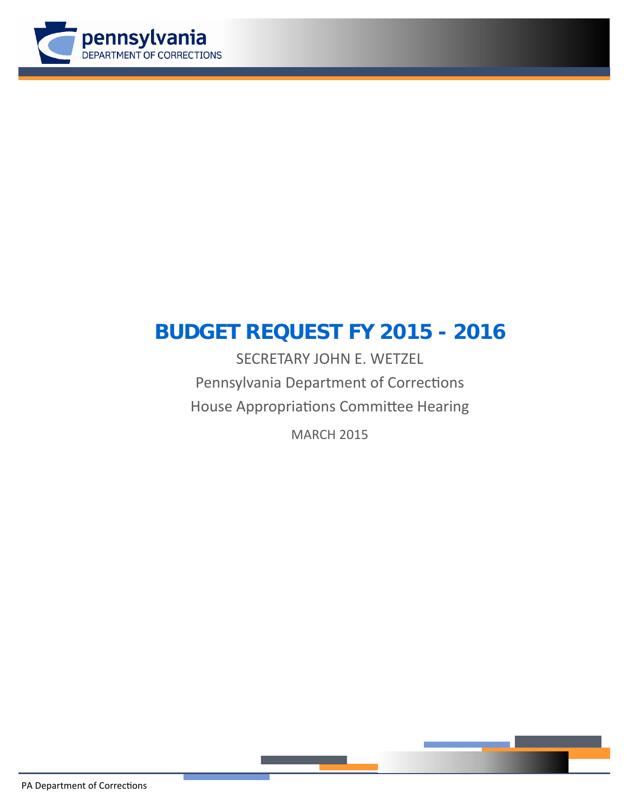

# **BUDGET REQUEST FY 2015 - 2016**

SECRETARY JOHN E. WETZEL Pennsylvania Department of Corrections House Appropriations Committee Hearing

MARCH 2015



PA Department of Corrections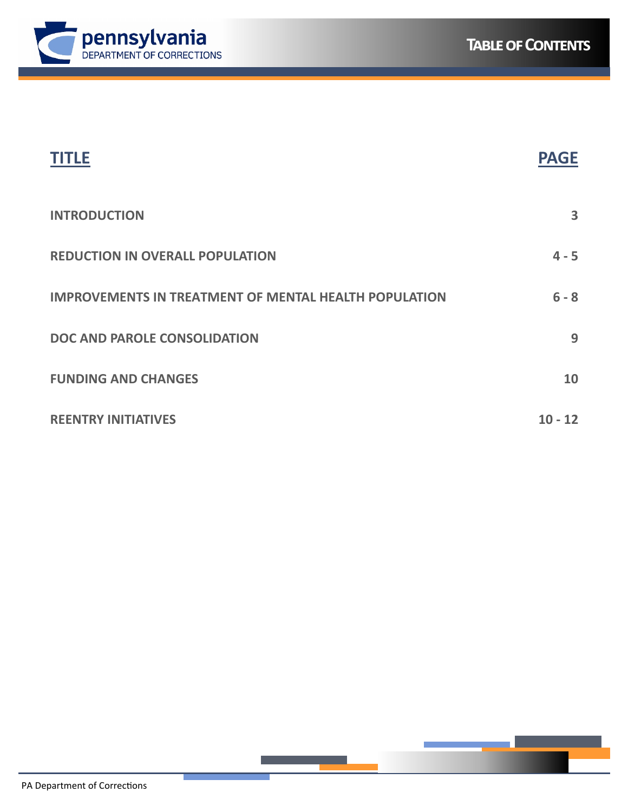



| TITI F                                                       | <b>PAGE</b> |
|--------------------------------------------------------------|-------------|
| <b>INTRODUCTION</b>                                          | 3           |
| <b>REDUCTION IN OVERALL POPULATION</b>                       | $4 - 5$     |
| <b>IMPROVEMENTS IN TREATMENT OF MENTAL HEALTH POPULATION</b> | $6 - 8$     |
| DOC AND PAROLE CONSOLIDATION                                 | 9           |
| <b>FUNDING AND CHANGES</b>                                   | 10          |
| <b>REENTRY INITIATIVES</b>                                   | $10 - 12$   |

<u> Tanzania (h. 1888).</u>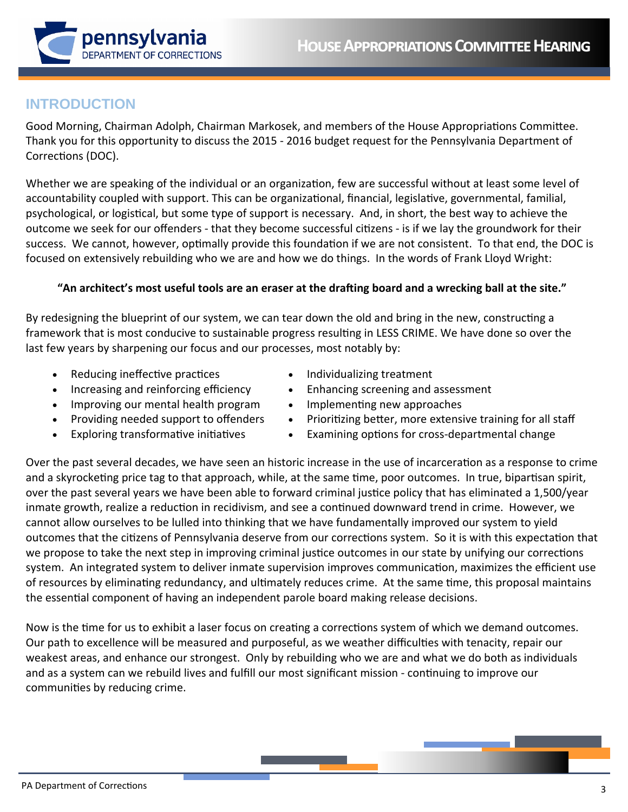

# **INTRODUCTION**

Good Morning, Chairman Adolph, Chairman Markosek, and members of the House Appropriations Committee. Thank you for this opportunity to discuss the 2015 ‐ 2016 budget request for the Pennsylvania Department of Corrections (DOC).

Whether we are speaking of the individual or an organization, few are successful without at least some level of accountability coupled with support. This can be organizational, financial, legislative, governmental, familial, psychological, or logistical, but some type of support is necessary. And, in short, the best way to achieve the outcome we seek for our offenders - that they become successful citizens - is if we lay the groundwork for their success. We cannot, however, optimally provide this foundation if we are not consistent. To that end, the DOC is focused on extensively rebuilding who we are and how we do things. In the words of Frank Lloyd Wright:

# "An architect's most useful tools are an eraser at the drafting board and a wrecking ball at the site."

By redesigning the blueprint of our system, we can tear down the old and bring in the new, constructing a framework that is most conducive to sustainable progress resulting in LESS CRIME. We have done so over the last few years by sharpening our focus and our processes, most notably by:

- Reducing ineffective practices
- Increasing and reinforcing efficiency
- Improving our mental health program
- Providing needed support to offenders
- Exploring transformative initiatives
- Individualizing treatment
- Enhancing screening and assessment
- Implementing new approaches
- Prioritizing better, more extensive training for all staff
- Examining options for cross-departmental change

Over the past several decades, we have seen an historic increase in the use of incarceration as a response to crime and a skyrocketing price tag to that approach, while, at the same time, poor outcomes. In true, bipartisan spirit, over the past several years we have been able to forward criminal justice policy that has eliminated a 1,500/year inmate growth, realize a reduction in recidivism, and see a continued downward trend in crime. However, we cannot allow ourselves to be lulled into thinking that we have fundamentally improved our system to yield outcomes that the citizens of Pennsylvania deserve from our corrections system. So it is with this expectation that we propose to take the next step in improving criminal justice outcomes in our state by unifying our corrections system. An integrated system to deliver inmate supervision improves communication, maximizes the efficient use of resources by eliminating redundancy, and ultimately reduces crime. At the same time, this proposal maintains the essential component of having an independent parole board making release decisions.

Now is the time for us to exhibit a laser focus on creating a corrections system of which we demand outcomes. Our path to excellence will be measured and purposeful, as we weather difficulties with tenacity, repair our weakest areas, and enhance our strongest. Only by rebuilding who we are and what we do both as individuals and as a system can we rebuild lives and fulfill our most significant mission - continuing to improve our communities by reducing crime.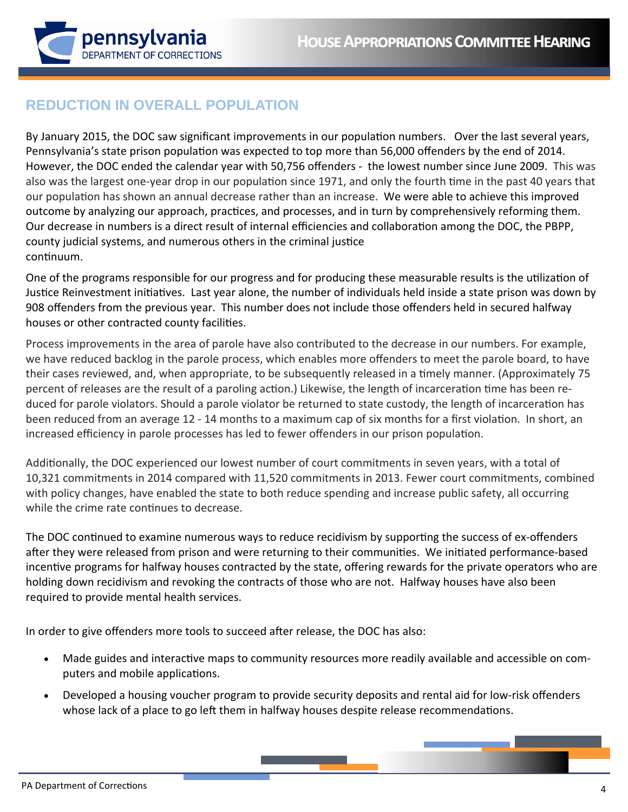

# **REDUCTION IN OVERALL POPULATION**

By January 2015, the DOC saw significant improvements in our population numbers. Over the last several years, Pennsylvania's state prison population was expected to top more than 56,000 offenders by the end of 2014. However, the DOC ended the calendar year with 50,756 offenders - the lowest number since June 2009. This was also was the largest one-year drop in our population since 1971, and only the fourth time in the past 40 years that our population has shown an annual decrease rather than an increase. We were able to achieve this improved outcome by analyzing our approach, practices, and processes, and in turn by comprehensively reforming them. Our decrease in numbers is a direct result of internal efficiencies and collaboration among the DOC, the PBPP, county judicial systems, and numerous others in the criminal justice continuum.

One of the programs responsible for our progress and for producing these measurable results is the utilization of Justice Reinvestment initiatives. Last year alone, the number of individuals held inside a state prison was down by 908 offenders from the previous year. This number does not include those offenders held in secured halfway houses or other contracted county facilities.

Process improvements in the area of parole have also contributed to the decrease in our numbers. For example, we have reduced backlog in the parole process, which enables more offenders to meet the parole board, to have their cases reviewed, and, when appropriate, to be subsequently released in a timely manner. (Approximately 75 percent of releases are the result of a paroling action.) Likewise, the length of incarceration time has been reduced for parole violators. Should a parole violator be returned to state custody, the length of incarceration has been reduced from an average 12 - 14 months to a maximum cap of six months for a first violation. In short, an increased efficiency in parole processes has led to fewer offenders in our prison population.

Additionally, the DOC experienced our lowest number of court commitments in seven years, with a total of 10,321 commitments in 2014 compared with 11,520 commitments in 2013. Fewer court commitments, combined with policy changes, have enabled the state to both reduce spending and increase public safety, all occurring while the crime rate continues to decrease.

The DOC continued to examine numerous ways to reduce recidivism by supporting the success of ex-offenders after they were released from prison and were returning to their communities. We initiated performance-based incentive programs for halfway houses contracted by the state, offering rewards for the private operators who are holding down recidivism and revoking the contracts of those who are not. Halfway houses have also been required to provide mental health services.

In order to give offenders more tools to succeed after release, the DOC has also:

- Made guides and interactive maps to community resources more readily available and accessible on computers and mobile applications.
- Developed a housing voucher program to provide security deposits and rental aid for low-risk offenders whose lack of a place to go left them in halfway houses despite release recommendations.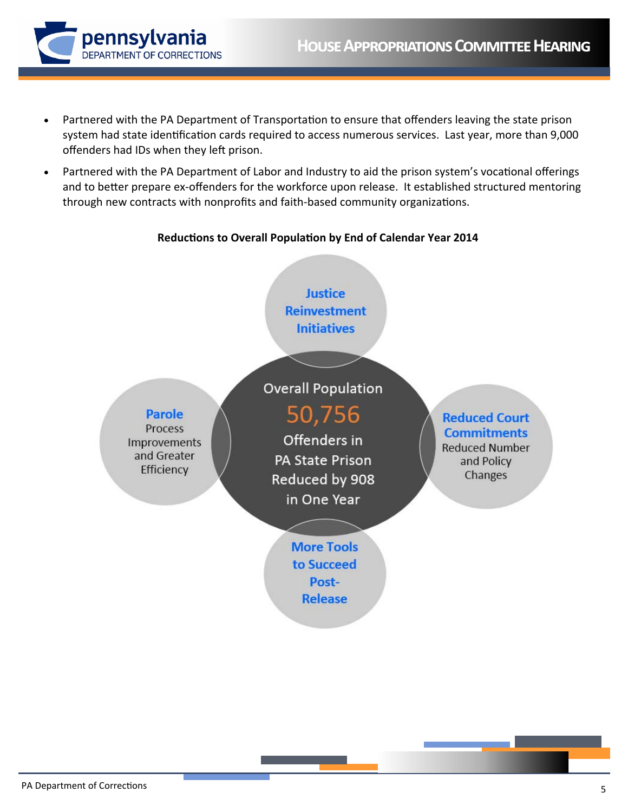

- Partnered with the PA Department of Transportation to ensure that offenders leaving the state prison  $\bullet$ system had state identification cards required to access numerous services. Last year, more than 9,000 offenders had IDs when they left prison.
- Partnered with the PA Department of Labor and Industry to aid the prison system's vocational offerings  $\bullet$ and to better prepare ex-offenders for the workforce upon release. It established structured mentoring through new contracts with nonprofits and faith-based community organizations.

# Reductions to Overall Population by End of Calendar Year 2014

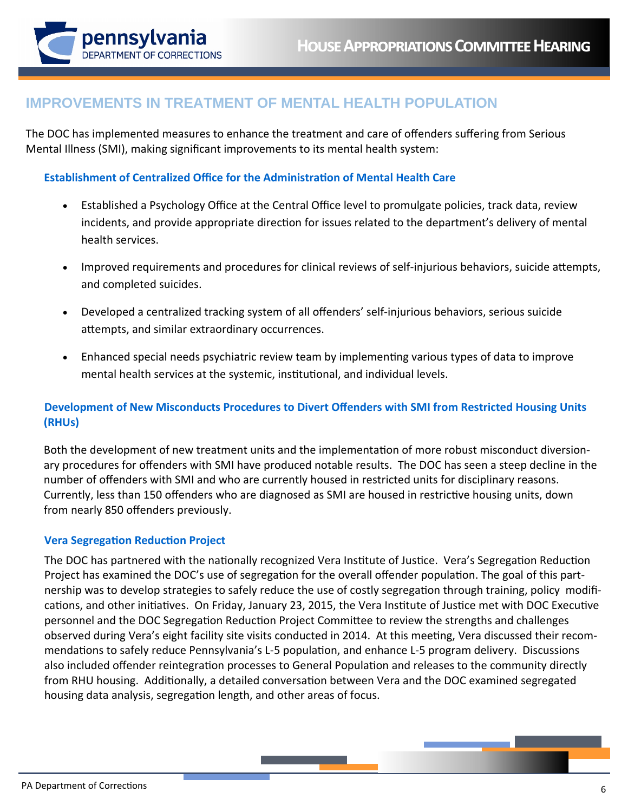

# **IMPROVEMENTS IN TREATMENT OF MENTAL HEALTH POPULATION**

The DOC has implemented measures to enhance the treatment and care of offenders suffering from Serious Mental Illness (SMI), making significant improvements to its mental health system:

# Establishment of Centralized Office for the Administration of Mental Health Care

- Established a Psychology Office at the Central Office level to promulgate policies, track data, review incidents, and provide appropriate direction for issues related to the department's delivery of mental health services.
- $\bullet$ Improved requirements and procedures for clinical reviews of self-injurious behaviors, suicide attempts, and completed suicides.
- Developed a centralized tracking system of all offenders' self-injurious behaviors, serious suicide  $\bullet$ attempts, and similar extraordinary occurrences.
- Enhanced special needs psychiatric review team by implementing various types of data to improve  $\bullet$ mental health services at the systemic, institutional, and individual levels.

# Development of New Misconducts Procedures to Divert Offenders with SMI from Restricted Housing Units (RHUs)

Both the development of new treatment units and the implementation of more robust misconduct diversionary procedures for offenders with SMI have produced notable results. The DOC has seen a steep decline in the number of offenders with SMI and who are currently housed in restricted units for disciplinary reasons. Currently, less than 150 offenders who are diagnosed as SMI are housed in restrictive housing units, down from nearly 850 offenders previously.

### **Vera Segregation Reduction Project**

The DOC has partnered with the nationally recognized Vera Institute of Justice. Vera's Segregation Reduction Project has examined the DOC's use of segregation for the overall offender population. The goal of this partnership was to develop strategies to safely reduce the use of costly segregation through training, policy modifications, and other initiatives. On Friday, January 23, 2015, the Vera Institute of Justice met with DOC Executive personnel and the DOC Segregation Reduction Project Committee to review the strengths and challenges observed during Vera's eight facility site visits conducted in 2014. At this meeting, Vera discussed their recommendations to safely reduce Pennsylvania's L-5 population, and enhance L-5 program delivery. Discussions also included offender reintegration processes to General Population and releases to the community directly from RHU housing. Additionally, a detailed conversation between Vera and the DOC examined segregated housing data analysis, segregation length, and other areas of focus.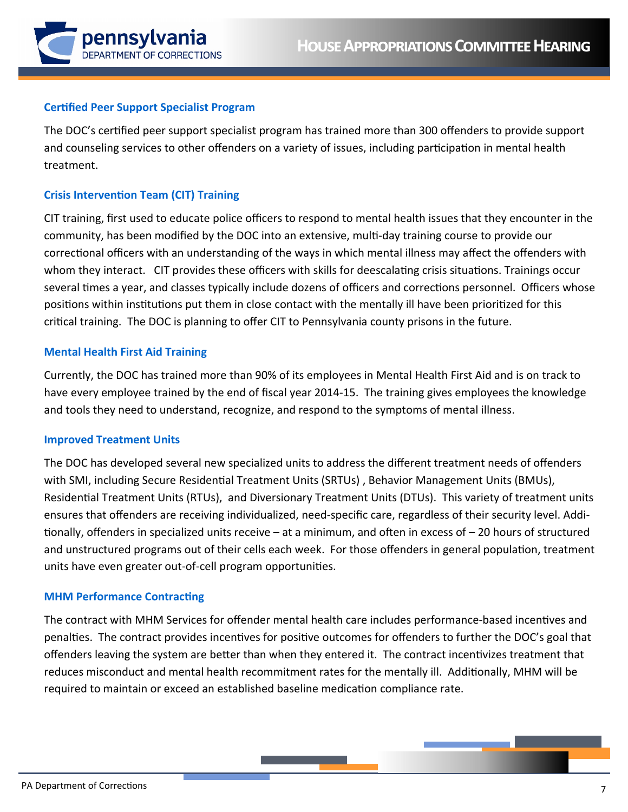

#### **Certified Peer Support Specialist Program**

The DOC's certified peer support specialist program has trained more than 300 offenders to provide support and counseling services to other offenders on a variety of issues, including participation in mental health treatment.

### **Crisis Intervention Team (CIT) Training**

CIT training, first used to educate police officers to respond to mental health issues that they encounter in the community, has been modified by the DOC into an extensive, multi-day training course to provide our correctional officers with an understanding of the ways in which mental illness may affect the offenders with whom they interact. CIT provides these officers with skills for deescalating crisis situations. Trainings occur several times a year, and classes typically include dozens of officers and corrections personnel. Officers whose positions within institutions put them in close contact with the mentally ill have been prioritized for this critical training. The DOC is planning to offer CIT to Pennsylvania county prisons in the future.

#### **Mental Health First Aid Training**

Currently, the DOC has trained more than 90% of its employees in Mental Health First Aid and is on track to have every employee trained by the end of fiscal year 2014-15. The training gives employees the knowledge and tools they need to understand, recognize, and respond to the symptoms of mental illness.

#### **Improved Treatment Units**

The DOC has developed several new specialized units to address the different treatment needs of offenders with SMI, including Secure Residential Treatment Units (SRTUs), Behavior Management Units (BMUs), Residential Treatment Units (RTUs), and Diversionary Treatment Units (DTUs). This variety of treatment units ensures that offenders are receiving individualized, need-specific care, regardless of their security level. Additionally, offenders in specialized units receive – at a minimum, and often in excess of – 20 hours of structured and unstructured programs out of their cells each week. For those offenders in general population, treatment units have even greater out-of-cell program opportunities.

#### **MHM Performance Contracting**

The contract with MHM Services for offender mental health care includes performance-based incentives and penalties. The contract provides incentives for positive outcomes for offenders to further the DOC's goal that offenders leaving the system are better than when they entered it. The contract incentivizes treatment that reduces misconduct and mental health recommitment rates for the mentally ill. Additionally, MHM will be required to maintain or exceed an established baseline medication compliance rate.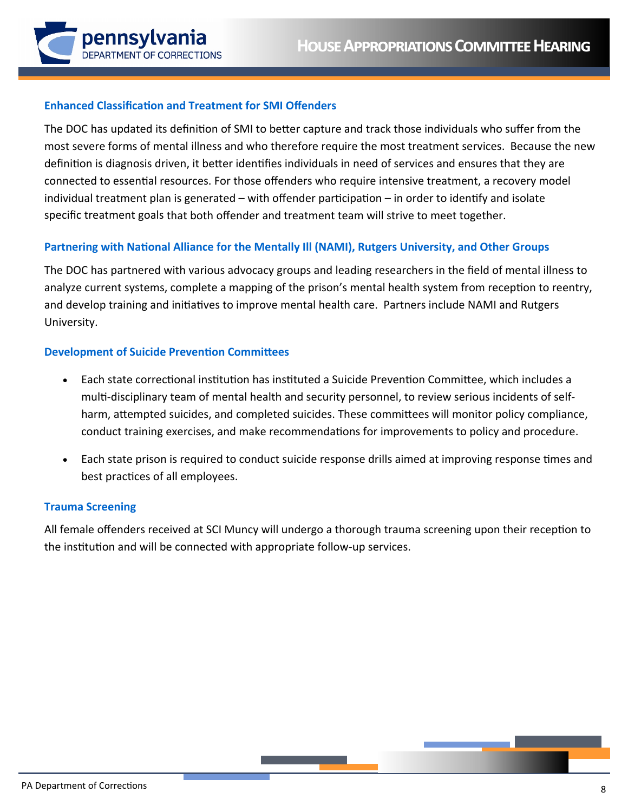

#### **Enhanced Classification and Treatment for SMI Offenders**

The DOC has updated its definition of SMI to better capture and track those individuals who suffer from the most severe forms of mental illness and who therefore require the most treatment services. Because the new definition is diagnosis driven, it better identifies individuals in need of services and ensures that they are connected to essential resources. For those offenders who require intensive treatment, a recovery model individual treatment plan is generated – with offender participation – in order to identify and isolate specific treatment goals that both offender and treatment team will strive to meet together.

#### Partnering with National Alliance for the Mentally Ill (NAMI), Rutgers University, and Other Groups

The DOC has partnered with various advocacy groups and leading researchers in the field of mental illness to analyze current systems, complete a mapping of the prison's mental health system from reception to reentry, and develop training and initiatives to improve mental health care. Partners include NAMI and Rutgers University.

#### **Development of Suicide Prevention Committees**

- Each state correctional institution has instituted a Suicide Prevention Committee, which includes a  $\bullet$ multi-disciplinary team of mental health and security personnel, to review serious incidents of selfharm, attempted suicides, and completed suicides. These committees will monitor policy compliance, conduct training exercises, and make recommendations for improvements to policy and procedure.
- Each state prison is required to conduct suicide response drills aimed at improving response times and best practices of all employees.

#### **Trauma Screening**

All female offenders received at SCI Muncy will undergo a thorough trauma screening upon their reception to the institution and will be connected with appropriate follow-up services.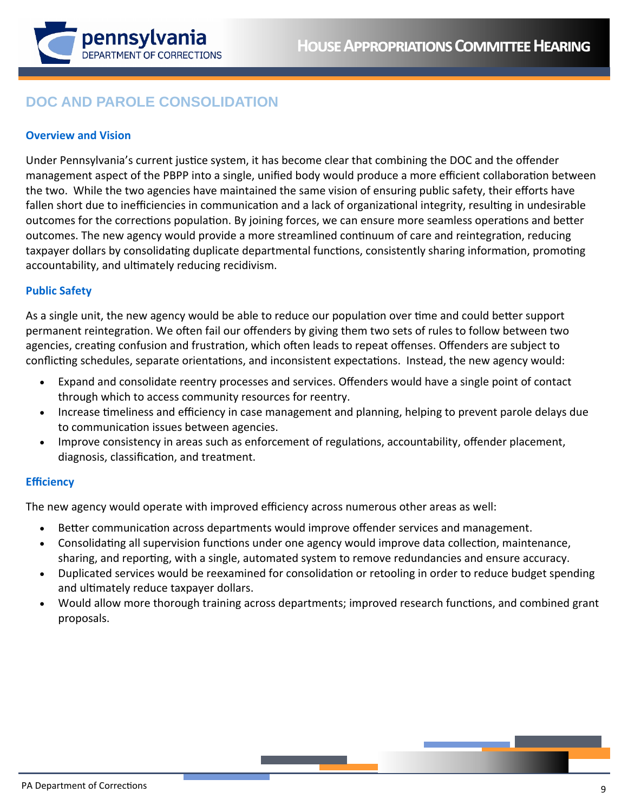

# **DOC AND PAROLE CONSOLIDATION**

# **Overview and Vision**

Under Pennsylvania's current justice system, it has become clear that combining the DOC and the offender management aspect of the PBPP into a single, unified body would produce a more efficient collaboration between the two. While the two agencies have maintained the same vision of ensuring public safety, their efforts have fallen short due to inefficiencies in communication and a lack of organizational integrity, resulting in undesirable outcomes for the corrections population. By joining forces, we can ensure more seamless operations and better outcomes. The new agency would provide a more streamlined continuum of care and reintegration, reducing taxpayer dollars by consolidating duplicate departmental functions, consistently sharing information, promoting accountability, and ultimately reducing recidivism.

# **Public Safety**

As a single unit, the new agency would be able to reduce our population over time and could better support permanent reintegration. We often fail our offenders by giving them two sets of rules to follow between two agencies, creating confusion and frustration, which often leads to repeat offenses. Offenders are subject to conflicting schedules, separate orientations, and inconsistent expectations. Instead, the new agency would:

- Expand and consolidate reentry processes and services. Offenders would have a single point of contact through which to access community resources for reentry.
- Increase timeliness and efficiency in case management and planning, helping to prevent parole delays due to communication issues between agencies.
- Improve consistency in areas such as enforcement of regulations, accountability, offender placement, diagnosis, classification, and treatment.

### **Efficiency**

The new agency would operate with improved efficiency across numerous other areas as well:

- Better communication across departments would improve offender services and management.  $\bullet$
- Consolidating all supervision functions under one agency would improve data collection, maintenance, sharing, and reporting, with a single, automated system to remove redundancies and ensure accuracy.
- Duplicated services would be reexamined for consolidation or retooling in order to reduce budget spending and ultimately reduce taxpayer dollars.
- Would allow more thorough training across departments; improved research functions, and combined grant proposals.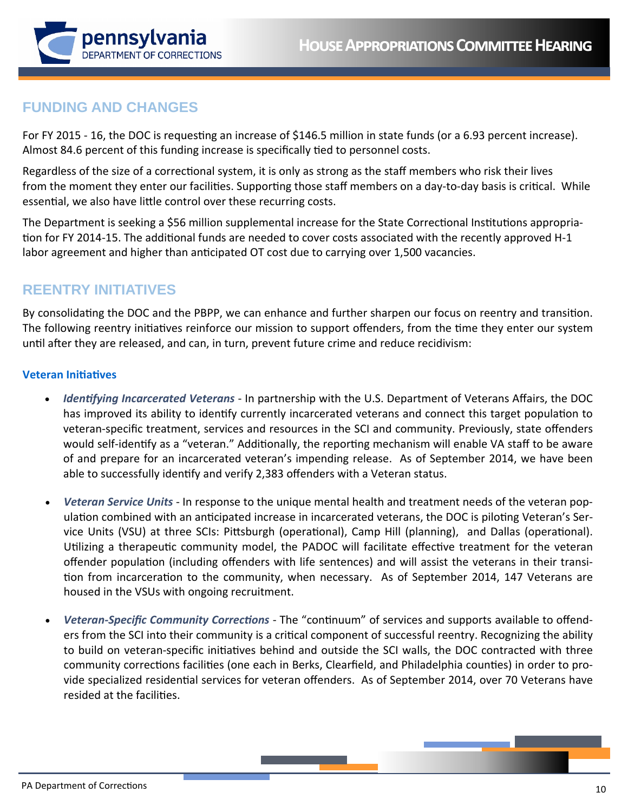

# **FUNDING AND CHANGES**

For FY 2015 - 16, the DOC is requesting an increase of \$146.5 million in state funds (or a 6.93 percent increase). Almost 84.6 percent of this funding increase is specifically tied to personnel costs.

Regardless of the size of a correctional system, it is only as strong as the staff members who risk their lives from the moment they enter our facilities. Supporting those staff members on a day-to-day basis is critical. While essential, we also have little control over these recurring costs.

The Department is seeking a \$56 million supplemental increase for the State Correctional Institutions appropriation for FY 2014-15. The additional funds are needed to cover costs associated with the recently approved H-1 labor agreement and higher than anticipated OT cost due to carrying over 1,500 vacancies.

# **REENTRY INITIATIVES**

By consolidating the DOC and the PBPP, we can enhance and further sharpen our focus on reentry and transition. The following reentry initiatives reinforce our mission to support offenders, from the time they enter our system until after they are released, and can, in turn, prevent future crime and reduce recidivism:

### **Veteran IniƟaƟves**

- *Identifying Incarcerated Veterans* In partnership with the U.S. Department of Veterans Affairs, the DOC has improved its ability to identify currently incarcerated veterans and connect this target population to veteran‐specific treatment, services and resources in the SCI and community. Previously, state offenders would self-identify as a "veteran." Additionally, the reporting mechanism will enable VA staff to be aware of and prepare for an incarcerated veteran's impending release. As of September 2014, we have been able to successfully identify and verify 2,383 offenders with a Veteran status.
- *Veteran Service Units* ‐ In response to the unique mental health and treatment needs of the veteran pop‐ ulation combined with an anticipated increase in incarcerated veterans, the DOC is piloting Veteran's Service Units (VSU) at three SCIs: Pittsburgh (operational), Camp Hill (planning), and Dallas (operational). Utilizing a therapeutic community model, the PADOC will facilitate effective treatment for the veteran offender population (including offenders with life sentences) and will assist the veterans in their transition from incarceration to the community, when necessary. As of September 2014, 147 Veterans are housed in the VSUs with ongoing recruitment.
- *Veteran-Specific Community Corrections* The "continuum" of services and supports available to offenders from the SCI into their community is a critical component of successful reentry. Recognizing the ability to build on veteran-specific initiatives behind and outside the SCI walls, the DOC contracted with three community corrections facilities (one each in Berks, Clearfield, and Philadelphia counties) in order to provide specialized residential services for veteran offenders. As of September 2014, over 70 Veterans have resided at the facilities.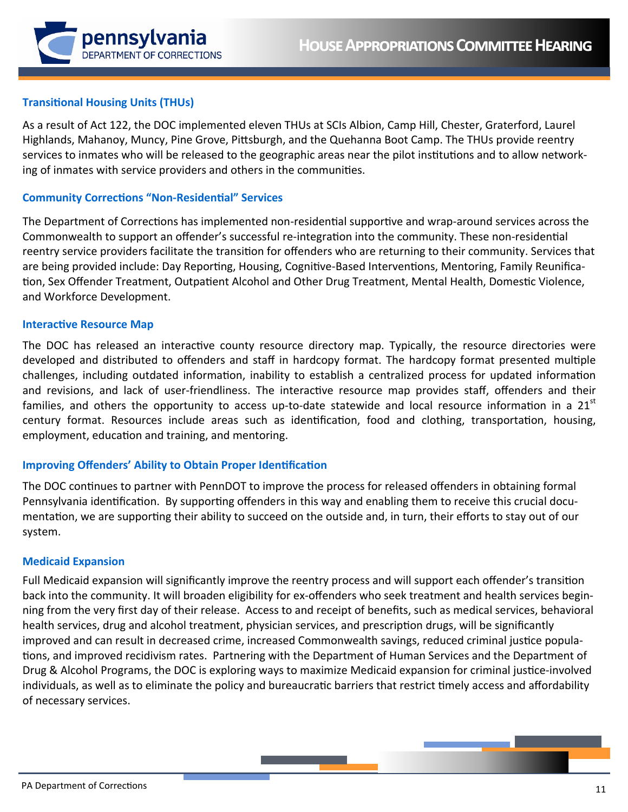

# **Transitional Housing Units (THUs)**

As a result of Act 122, the DOC implemented eleven THUs at SCIs Albion, Camp Hill, Chester, Graterford, Laurel Highlands, Mahanoy, Muncy, Pine Grove, Pittsburgh, and the Quehanna Boot Camp. The THUs provide reentry services to inmates who will be released to the geographic areas near the pilot institutions and to allow networking of inmates with service providers and others in the communities.

# **Community Corrections "Non-Residential" Services**

The Department of Corrections has implemented non-residential supportive and wrap-around services across the Commonwealth to support an offender's successful re-integration into the community. These non-residential reentry service providers facilitate the transition for offenders who are returning to their community. Services that are being provided include: Day Reporting, Housing, Cognitive-Based Interventions, Mentoring, Family Reunification, Sex Offender Treatment, Outpatient Alcohol and Other Drug Treatment, Mental Health, Domestic Violence, and Workforce Development.

#### **Interactive Resource Map**

The DOC has released an interactive county resource directory map. Typically, the resource directories were developed and distributed to offenders and staff in hardcopy format. The hardcopy format presented multiple challenges, including outdated information, inability to establish a centralized process for updated information and revisions, and lack of user-friendliness. The interactive resource map provides staff, offenders and their families, and others the opportunity to access up-to-date statewide and local resource information in a 21<sup>st</sup> century format. Resources include areas such as identification, food and clothing, transportation, housing, employment, education and training, and mentoring.

### **Improving Offenders' Ability to Obtain Proper Identification**

The DOC continues to partner with PennDOT to improve the process for released offenders in obtaining formal Pennsylvania identification. By supporting offenders in this way and enabling them to receive this crucial documentation, we are supporting their ability to succeed on the outside and, in turn, their efforts to stay out of our system.

#### **Medicaid Expansion**

Full Medicaid expansion will significantly improve the reentry process and will support each offender's transition back into the community. It will broaden eligibility for ex-offenders who seek treatment and health services beginning from the very first day of their release. Access to and receipt of benefits, such as medical services, behavioral health services, drug and alcohol treatment, physician services, and prescription drugs, will be significantly improved and can result in decreased crime, increased Commonwealth savings, reduced criminal justice populations, and improved recidivism rates. Partnering with the Department of Human Services and the Department of Drug & Alcohol Programs, the DOC is exploring ways to maximize Medicaid expansion for criminal justice-involved individuals, as well as to eliminate the policy and bureaucratic barriers that restrict timely access and affordability of necessary services.